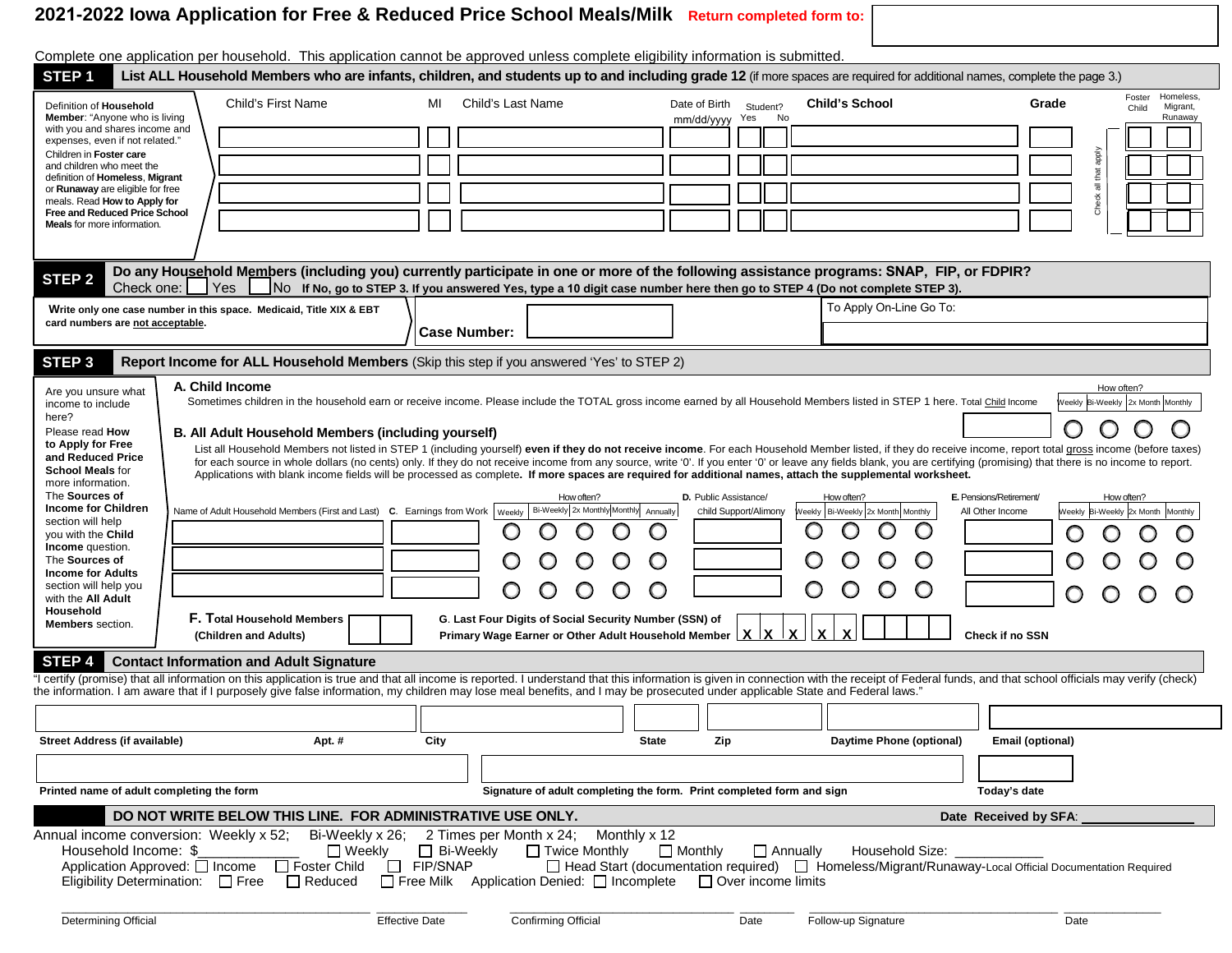# **2021-2022 Iowa Application for Free & Reduced Price School Meals/Milk Return completed form to:**

| Complete one application per household. This application cannot be approved unless complete eligibility information is submitted.                                                                                                                                                                                                                                                                                                                                                                                                                                                                                                                                                                                                                                                                                                                                                                                                                                                                                                                                                                                                                                                                                                                                                                                                                                                                                                                                                                                                                                                                                                                                                                                                                                                                                                                                                                                                                                                                                                                                                                                                                                                                                                                                                                                        |                         |              |                                 |                |                                                                                                                                                      |                                                              |  |  |  |
|--------------------------------------------------------------------------------------------------------------------------------------------------------------------------------------------------------------------------------------------------------------------------------------------------------------------------------------------------------------------------------------------------------------------------------------------------------------------------------------------------------------------------------------------------------------------------------------------------------------------------------------------------------------------------------------------------------------------------------------------------------------------------------------------------------------------------------------------------------------------------------------------------------------------------------------------------------------------------------------------------------------------------------------------------------------------------------------------------------------------------------------------------------------------------------------------------------------------------------------------------------------------------------------------------------------------------------------------------------------------------------------------------------------------------------------------------------------------------------------------------------------------------------------------------------------------------------------------------------------------------------------------------------------------------------------------------------------------------------------------------------------------------------------------------------------------------------------------------------------------------------------------------------------------------------------------------------------------------------------------------------------------------------------------------------------------------------------------------------------------------------------------------------------------------------------------------------------------------------------------------------------------------------------------------------------------------|-------------------------|--------------|---------------------------------|----------------|------------------------------------------------------------------------------------------------------------------------------------------------------|--------------------------------------------------------------|--|--|--|
| STEP <sub>1</sub><br>List ALL Household Members who are infants, children, and students up to and including grade 12 (if more spaces are required for additional names, complete the page 3.)                                                                                                                                                                                                                                                                                                                                                                                                                                                                                                                                                                                                                                                                                                                                                                                                                                                                                                                                                                                                                                                                                                                                                                                                                                                                                                                                                                                                                                                                                                                                                                                                                                                                                                                                                                                                                                                                                                                                                                                                                                                                                                                            |                         |              |                                 |                |                                                                                                                                                      |                                                              |  |  |  |
| Child's First Name<br>Definition of Household<br><b>Member:</b> "Anyone who is living                                                                                                                                                                                                                                                                                                                                                                                                                                                                                                                                                                                                                                                                                                                                                                                                                                                                                                                                                                                                                                                                                                                                                                                                                                                                                                                                                                                                                                                                                                                                                                                                                                                                                                                                                                                                                                                                                                                                                                                                                                                                                                                                                                                                                                    | Child's Last Name<br>ML |              | Date of Birth<br>mm/dd/yyyy Yes | Student?<br>No | <b>Child's School</b>                                                                                                                                | Homeless.<br>Foster<br>Grade<br>Migrant,<br>Child<br>Runaway |  |  |  |
| with you and shares income and<br>expenses, even if not related."                                                                                                                                                                                                                                                                                                                                                                                                                                                                                                                                                                                                                                                                                                                                                                                                                                                                                                                                                                                                                                                                                                                                                                                                                                                                                                                                                                                                                                                                                                                                                                                                                                                                                                                                                                                                                                                                                                                                                                                                                                                                                                                                                                                                                                                        |                         |              |                                 |                |                                                                                                                                                      |                                                              |  |  |  |
| Children in Foster care<br>and children who meet the                                                                                                                                                                                                                                                                                                                                                                                                                                                                                                                                                                                                                                                                                                                                                                                                                                                                                                                                                                                                                                                                                                                                                                                                                                                                                                                                                                                                                                                                                                                                                                                                                                                                                                                                                                                                                                                                                                                                                                                                                                                                                                                                                                                                                                                                     |                         |              |                                 |                |                                                                                                                                                      |                                                              |  |  |  |
| definition of Homeless, Migrant<br>or Runaway are eligible for free                                                                                                                                                                                                                                                                                                                                                                                                                                                                                                                                                                                                                                                                                                                                                                                                                                                                                                                                                                                                                                                                                                                                                                                                                                                                                                                                                                                                                                                                                                                                                                                                                                                                                                                                                                                                                                                                                                                                                                                                                                                                                                                                                                                                                                                      |                         |              |                                 |                |                                                                                                                                                      | $\overline{\overline{5}}$                                    |  |  |  |
| meals. Read How to Apply for<br><b>Free and Reduced Price School</b>                                                                                                                                                                                                                                                                                                                                                                                                                                                                                                                                                                                                                                                                                                                                                                                                                                                                                                                                                                                                                                                                                                                                                                                                                                                                                                                                                                                                                                                                                                                                                                                                                                                                                                                                                                                                                                                                                                                                                                                                                                                                                                                                                                                                                                                     |                         |              |                                 |                |                                                                                                                                                      | Check                                                        |  |  |  |
| <b>Meals</b> for more information.                                                                                                                                                                                                                                                                                                                                                                                                                                                                                                                                                                                                                                                                                                                                                                                                                                                                                                                                                                                                                                                                                                                                                                                                                                                                                                                                                                                                                                                                                                                                                                                                                                                                                                                                                                                                                                                                                                                                                                                                                                                                                                                                                                                                                                                                                       |                         |              |                                 |                |                                                                                                                                                      |                                                              |  |  |  |
| Do any Household Members (including you) currently participate in one or more of the following assistance programs: SNAP, FIP, or FDPIR?<br>STEP <sub>2</sub>                                                                                                                                                                                                                                                                                                                                                                                                                                                                                                                                                                                                                                                                                                                                                                                                                                                                                                                                                                                                                                                                                                                                                                                                                                                                                                                                                                                                                                                                                                                                                                                                                                                                                                                                                                                                                                                                                                                                                                                                                                                                                                                                                            |                         |              |                                 |                |                                                                                                                                                      |                                                              |  |  |  |
| Check one:<br>  Yes                                                                                                                                                                                                                                                                                                                                                                                                                                                                                                                                                                                                                                                                                                                                                                                                                                                                                                                                                                                                                                                                                                                                                                                                                                                                                                                                                                                                                                                                                                                                                                                                                                                                                                                                                                                                                                                                                                                                                                                                                                                                                                                                                                                                                                                                                                      |                         |              |                                 |                | No If No, go to STEP 3. If you answered Yes, type a 10 digit case number here then go to STEP 4 (Do not complete STEP 3).<br>To Apply On-Line Go To: |                                                              |  |  |  |
| Write only one case number in this space. Medicaid, Title XIX & EBT<br>card numbers are not acceptable.                                                                                                                                                                                                                                                                                                                                                                                                                                                                                                                                                                                                                                                                                                                                                                                                                                                                                                                                                                                                                                                                                                                                                                                                                                                                                                                                                                                                                                                                                                                                                                                                                                                                                                                                                                                                                                                                                                                                                                                                                                                                                                                                                                                                                  | <b>Case Number:</b>     |              |                                 |                |                                                                                                                                                      |                                                              |  |  |  |
|                                                                                                                                                                                                                                                                                                                                                                                                                                                                                                                                                                                                                                                                                                                                                                                                                                                                                                                                                                                                                                                                                                                                                                                                                                                                                                                                                                                                                                                                                                                                                                                                                                                                                                                                                                                                                                                                                                                                                                                                                                                                                                                                                                                                                                                                                                                          |                         |              |                                 |                |                                                                                                                                                      |                                                              |  |  |  |
| STEP <sub>3</sub><br>Report Income for ALL Household Members (Skip this step if you answered 'Yes' to STEP 2)                                                                                                                                                                                                                                                                                                                                                                                                                                                                                                                                                                                                                                                                                                                                                                                                                                                                                                                                                                                                                                                                                                                                                                                                                                                                                                                                                                                                                                                                                                                                                                                                                                                                                                                                                                                                                                                                                                                                                                                                                                                                                                                                                                                                            |                         |              |                                 |                |                                                                                                                                                      |                                                              |  |  |  |
| A. Child Income<br>How often?<br>Are you unsure what<br>Sometimes children in the household earn or receive income. Please include the TOTAL gross income earned by all Household Members listed in STEP 1 here. Total Child Income<br>Weekly Bi-Weekly 2x Month Monthly<br>income to include<br>here?<br>Please read How<br><b>B. All Adult Household Members (including yourself)</b><br>to Apply for Free<br>List all Household Members not listed in STEP 1 (including yourself) even if they do not receive income. For each Household Member listed, if they do receive income, report total gross income (before taxes)<br>and Reduced Price<br>for each source in whole dollars (no cents) only. If they do not receive income from any source, write '0'. If you enter '0' or leave any fields blank, you are certifying (promising) that there is no income to report.<br><b>School Meals for</b><br>Applications with blank income fields will be processed as complete. If more spaces are required for additional names, attach the supplemental worksheet.<br>more information.<br>The Sources of<br>D. Public Assistance/<br>E. Pensions/Retirement/<br>How often?<br>How often?<br>How often?<br><b>Income for Children</b><br>Bi-Weekly 2x Monthly Monthly Annually<br>Name of Adult Household Members (First and Last) $\,$ C. Earnings from Work $\, \,$ Weekly<br>Child Support/Alimony<br>Weekly   Bi-Weekly 2x Month Monthly<br>All Other Income<br>Weekly Bi-Weekly 2x Month Monthly<br>section will help<br>C<br>0<br>O<br>you with the Child<br>Income question.<br>The Sources of<br><b>Income for Adults</b><br>section will help you<br>O<br>$\bigcirc$<br>C<br>$\circ$<br>O<br>O<br>O<br>with the All Adult<br>Household<br>F. Total Household Members<br>G. Last Four Digits of Social Security Number (SSN) of<br><b>Members</b> section.<br>$\mathbf{x}$<br>Primary Wage Earner or Other Adult Household Member $\lfloor x \rfloor x \rfloor x$<br>(Children and Adults)<br>Check if no SSN<br>STEP 4<br><b>Contact Information and Adult Signature</b><br>"I certify (promise) that all information on this application is true and that all income is reported. I understand that this information is given in connection with the receipt of Federal funds, and that school officials |                         |              |                                 |                |                                                                                                                                                      |                                                              |  |  |  |
| the information. I am aware that if I purposely give false information, my children may lose meal benefits, and I may be prosecuted under applicable State and Federal laws."                                                                                                                                                                                                                                                                                                                                                                                                                                                                                                                                                                                                                                                                                                                                                                                                                                                                                                                                                                                                                                                                                                                                                                                                                                                                                                                                                                                                                                                                                                                                                                                                                                                                                                                                                                                                                                                                                                                                                                                                                                                                                                                                            |                         |              |                                 |                |                                                                                                                                                      |                                                              |  |  |  |
| Street Address (if available)<br>Apt. #                                                                                                                                                                                                                                                                                                                                                                                                                                                                                                                                                                                                                                                                                                                                                                                                                                                                                                                                                                                                                                                                                                                                                                                                                                                                                                                                                                                                                                                                                                                                                                                                                                                                                                                                                                                                                                                                                                                                                                                                                                                                                                                                                                                                                                                                                  | City                    | <b>State</b> | Zip                             |                | Daytime Phone (optional)                                                                                                                             | Email (optional)                                             |  |  |  |
|                                                                                                                                                                                                                                                                                                                                                                                                                                                                                                                                                                                                                                                                                                                                                                                                                                                                                                                                                                                                                                                                                                                                                                                                                                                                                                                                                                                                                                                                                                                                                                                                                                                                                                                                                                                                                                                                                                                                                                                                                                                                                                                                                                                                                                                                                                                          |                         |              |                                 |                |                                                                                                                                                      |                                                              |  |  |  |
| Signature of adult completing the form. Print completed form and sign<br>Printed name of adult completing the form<br>Today's date                                                                                                                                                                                                                                                                                                                                                                                                                                                                                                                                                                                                                                                                                                                                                                                                                                                                                                                                                                                                                                                                                                                                                                                                                                                                                                                                                                                                                                                                                                                                                                                                                                                                                                                                                                                                                                                                                                                                                                                                                                                                                                                                                                                       |                         |              |                                 |                |                                                                                                                                                      |                                                              |  |  |  |
| DO NOT WRITE BELOW THIS LINE. FOR ADMINISTRATIVE USE ONLY.<br>Date Received by SFA:<br>Annual income conversion: Weekly x 52; Bi-Weekly x 26; 2 Times per Month x 24; Monthly x 12                                                                                                                                                                                                                                                                                                                                                                                                                                                                                                                                                                                                                                                                                                                                                                                                                                                                                                                                                                                                                                                                                                                                                                                                                                                                                                                                                                                                                                                                                                                                                                                                                                                                                                                                                                                                                                                                                                                                                                                                                                                                                                                                       |                         |              |                                 |                |                                                                                                                                                      |                                                              |  |  |  |
| □ Weekly □ Bi-Weekly □ Twice Monthly<br>Household Income: \$<br>$\Box$ Monthly<br>$\Box$ Annually<br>Household Size:<br>Application Approved: Theome T Foster Child T FIP/SNAP<br>□ Head Start (documentation required) □ Homeless/Migrant/Runaway-Local Official Documentation Required<br>Eligibility Determination: □ Free □ Reduced □ Free Milk Application Denied: □ Incomplete □ Over income limits                                                                                                                                                                                                                                                                                                                                                                                                                                                                                                                                                                                                                                                                                                                                                                                                                                                                                                                                                                                                                                                                                                                                                                                                                                                                                                                                                                                                                                                                                                                                                                                                                                                                                                                                                                                                                                                                                                                |                         |              |                                 |                |                                                                                                                                                      |                                                              |  |  |  |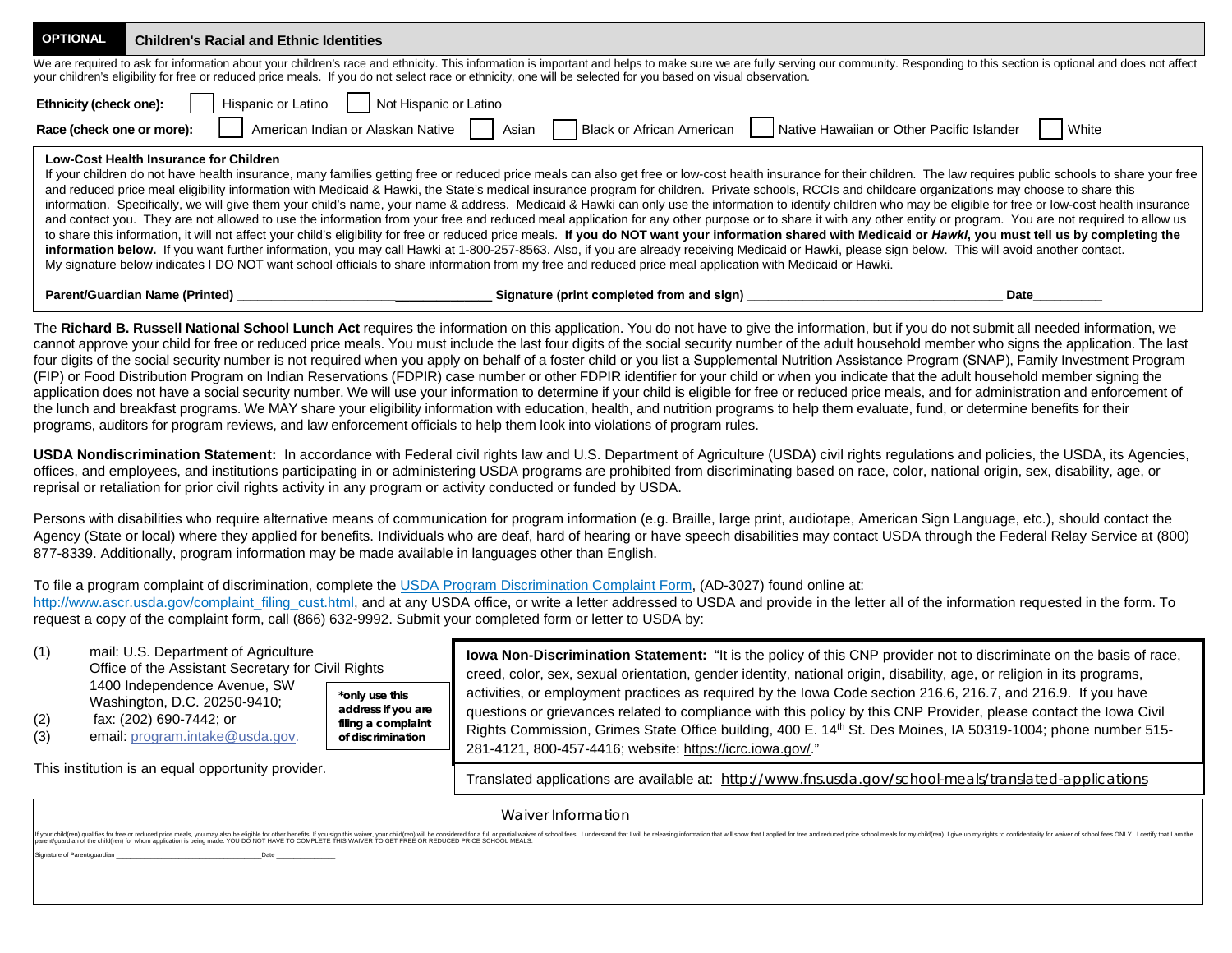| <b>OPTIONAL</b> | <b>Children's Racial and Ethnic Identities</b>                                                                                                                                                                                                                                                                                                                                                                                                                                                                                                                                                                                                                                                                                                                                                                                                                                                                                                                                                                                                                                                                                                                                                                                                                                                                                                                                                                                                                                                         |       |  |  |  |  |  |  |
|-----------------|--------------------------------------------------------------------------------------------------------------------------------------------------------------------------------------------------------------------------------------------------------------------------------------------------------------------------------------------------------------------------------------------------------------------------------------------------------------------------------------------------------------------------------------------------------------------------------------------------------------------------------------------------------------------------------------------------------------------------------------------------------------------------------------------------------------------------------------------------------------------------------------------------------------------------------------------------------------------------------------------------------------------------------------------------------------------------------------------------------------------------------------------------------------------------------------------------------------------------------------------------------------------------------------------------------------------------------------------------------------------------------------------------------------------------------------------------------------------------------------------------------|-------|--|--|--|--|--|--|
|                 | We are required to ask for information about your children's race and ethnicity. This information is important and helps to make sure we are fully serving our community. Responding to this section is optional and does not<br>your children's eligibility for free or reduced price meals. If you do not select race or ethnicity, one will be selected for you based on visual observation.                                                                                                                                                                                                                                                                                                                                                                                                                                                                                                                                                                                                                                                                                                                                                                                                                                                                                                                                                                                                                                                                                                        |       |  |  |  |  |  |  |
|                 | <b>Ethnicity (check one):</b>     Hispanic or Latino     Not Hispanic or Latino                                                                                                                                                                                                                                                                                                                                                                                                                                                                                                                                                                                                                                                                                                                                                                                                                                                                                                                                                                                                                                                                                                                                                                                                                                                                                                                                                                                                                        |       |  |  |  |  |  |  |
|                 | American Indian or Alaskan Native   Asian   Black or African American   Native Hawaiian or Other Pacific Islander<br>Race (check one or more):                                                                                                                                                                                                                                                                                                                                                                                                                                                                                                                                                                                                                                                                                                                                                                                                                                                                                                                                                                                                                                                                                                                                                                                                                                                                                                                                                         | White |  |  |  |  |  |  |
|                 | Low-Cost Health Insurance for Children<br>If your children do not have health insurance, many families getting free or reduced price meals can also get free or low-cost health insurance for their children. The law requires public schools to share your free<br>and reduced price meal eligibility information with Medicaid & Hawki, the State's medical insurance program for children. Private schools, RCCIs and childcare organizations may choose to share this<br>information. Specifically, we will give them your child's name, your name & address. Medicaid & Hawki can only use the information to identify children who may be eligible for free or low-cost health insurance<br>and contact you. They are not allowed to use the information from your free and reduced meal application for any other purpose or to share it with any other entity or program. You are not required to allow us<br>to share this information, it will not affect your child's eligibility for free or reduced price meals. If you do NOT want your information shared with Medicaid or Hawki, you must tell us by completing the<br>information below. If you want further information, you may call Hawki at 1-800-257-8563. Also, if you are already receiving Medicaid or Hawki, please sign below. This will avoid another contact.<br>My signature below indicates I DO NOT want school officials to share information from my free and reduced price meal application with Medicaid or Hawki. |       |  |  |  |  |  |  |
|                 | <b>Parent/Guardian Name (Printed)</b><br>Signature (print completed from and sign)                                                                                                                                                                                                                                                                                                                                                                                                                                                                                                                                                                                                                                                                                                                                                                                                                                                                                                                                                                                                                                                                                                                                                                                                                                                                                                                                                                                                                     | Date  |  |  |  |  |  |  |

The **Richard B. Russell National School Lunch Act** requires the information on this application. You do not have to give the information, but if you do not submit all needed information, we cannot approve your child for free or reduced price meals. You must include the last four digits of the social security number of the adult household member who signs the application. The last four digits of the social security number is not required when you apply on behalf of a foster child or you list a Supplemental Nutrition Assistance Program (SNAP), Family Investment Program (FIP) or Food Distribution Program on Indian Reservations (FDPIR) case number or other FDPIR identifier for your child or when you indicate that the adult household member signing the application does not have a social security number. We will use your information to determine if your child is eligible for free or reduced price meals, and for administration and enforcement of the lunch and breakfast programs. We MAY share your eligibility information with education, health, and nutrition programs to help them evaluate, fund, or determine benefits for their programs, auditors for program reviews, and law enforcement officials to help them look into violations of program rules.

**USDA Nondiscrimination Statement:** In accordance with Federal civil rights law and U.S. Department of Agriculture (USDA) civil rights regulations and policies, the USDA, its Agencies, offices, and employees, and institutions participating in or administering USDA programs are prohibited from discriminating based on race, color, national origin, sex, disability, age, or reprisal or retaliation for prior civil rights activity in any program or activity conducted or funded by USDA.

Persons with disabilities who require alternative means of communication for program information (e.g. Braille, large print, audiotape, American Sign Language, etc.), should contact the Agency (State or local) where they applied for benefits. Individuals who are deaf, hard of hearing or have speech disabilities may contact USDA through the Federal Relay Service at (800) 877-8339. Additionally, program information may be made available in languages other than English.

## To file a program complaint of discrimination, complete the USDA Program Discrimination Complaint Form, (AD-3027) found online at:

http://www.ascr.usda.gov/complaint\_filing\_cust.html, and at any USDA office, or write a letter addressed to USDA and provide in the letter all of the information requested in the form. To request a copy of the complaint form, call (866) 632-9992. Submit your completed form or letter to USDA by:

| (1)<br>(2)<br>(3)                                  | mail: U.S. Department of Agriculture<br>Office of the Assistant Secretary for Civil Rights<br>1400 Independence Avenue, SW<br>Washington, D.C. 20250-9410;<br>fax: (202) 690-7442; or<br>email: program.intake@usda.gov. | *only use this<br>address if you are<br>filing a complaint<br>of discrimination | lowa Non-Discrimination Statement: "It is the policy of this CNP provider not to discriminate on the basis of race,<br>creed, color, sex, sexual orientation, gender identity, national origin, disability, age, or religion in its programs,<br>activities, or employment practices as required by the lowa Code section 216.6, 216.7, and 216.9. If you have<br>questions or grievances related to compliance with this policy by this CNP Provider, please contact the lowa Civil<br>Rights Commission, Grimes State Office building, 400 E. 14th St. Des Moines, IA 50319-1004; phone number 515-<br>281-4121, 800-457-4416; website: https://icrc.iowa.gov/." |
|----------------------------------------------------|--------------------------------------------------------------------------------------------------------------------------------------------------------------------------------------------------------------------------|---------------------------------------------------------------------------------|--------------------------------------------------------------------------------------------------------------------------------------------------------------------------------------------------------------------------------------------------------------------------------------------------------------------------------------------------------------------------------------------------------------------------------------------------------------------------------------------------------------------------------------------------------------------------------------------------------------------------------------------------------------------|
| This institution is an equal opportunity provider. |                                                                                                                                                                                                                          |                                                                                 | Translated applications are available at: http://www.fns.usda.gov/school-meals/translated-applications                                                                                                                                                                                                                                                                                                                                                                                                                                                                                                                                                             |

| Waiver Information                                                                                                                                                                                                             |
|--------------------------------------------------------------------------------------------------------------------------------------------------------------------------------------------------------------------------------|
| If you child for the offer the or reduced price meals, you may also be elight for other benefits. If you sign this alver, your child from the considered for a full or parable or meals in the relation of the the substitute  |
| Signature of Parent/quardian entertainment of the state of Parent Control of Parent Control of Parent Control of the Signature of Parent Control of the Signature of Parent Control of the Signature of the Signature of the S |
|                                                                                                                                                                                                                                |
|                                                                                                                                                                                                                                |